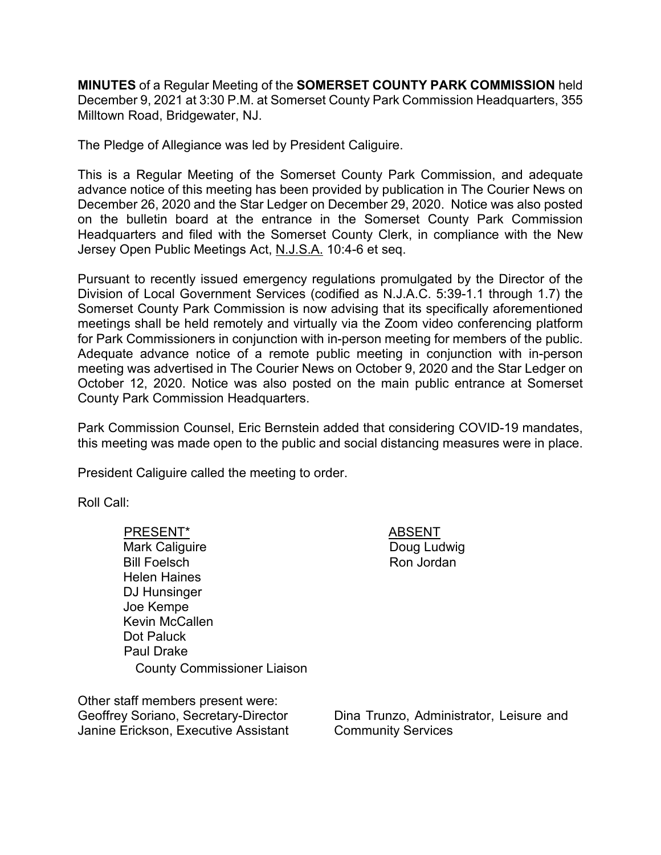**MINUTES** of a Regular Meeting of the **SOMERSET COUNTY PARK COMMISSION** held December 9, 2021 at 3:30 P.M. at Somerset County Park Commission Headquarters, 355 Milltown Road, Bridgewater, NJ.

The Pledge of Allegiance was led by President Caliguire.

This is a Regular Meeting of the Somerset County Park Commission, and adequate advance notice of this meeting has been provided by publication in The Courier News on December 26, 2020 and the Star Ledger on December 29, 2020. Notice was also posted on the bulletin board at the entrance in the Somerset County Park Commission Headquarters and filed with the Somerset County Clerk, in compliance with the New Jersey Open Public Meetings Act, N.J.S.A. 10:4-6 et seq.

Pursuant to recently issued emergency regulations promulgated by the Director of the Division of Local Government Services (codified as N.J.A.C. 5:39-1.1 through 1.7) the Somerset County Park Commission is now advising that its specifically aforementioned meetings shall be held remotely and virtually via the Zoom video conferencing platform for Park Commissioners in conjunction with in-person meeting for members of the public. Adequate advance notice of a remote public meeting in conjunction with in-person meeting was advertised in The Courier News on October 9, 2020 and the Star Ledger on October 12, 2020. Notice was also posted on the main public entrance at Somerset County Park Commission Headquarters.

Park Commission Counsel, Eric Bernstein added that considering COVID-19 mandates, this meeting was made open to the public and social distancing measures were in place.

President Caliguire called the meeting to order.

Roll Call:

PRESENT\* ABSENT Mark Caliguire Bill Foelsch Helen Haines DJ Hunsinger Joe Kempe Kevin McCallen Dot Paluck Paul Drake County Commissioner Liaison

Other staff members present were: Geoffrey Soriano, Secretary-Director Janine Erickson, Executive Assistant Doug Ludwig Ron Jordan

Dina Trunzo, Administrator, Leisure and Community Services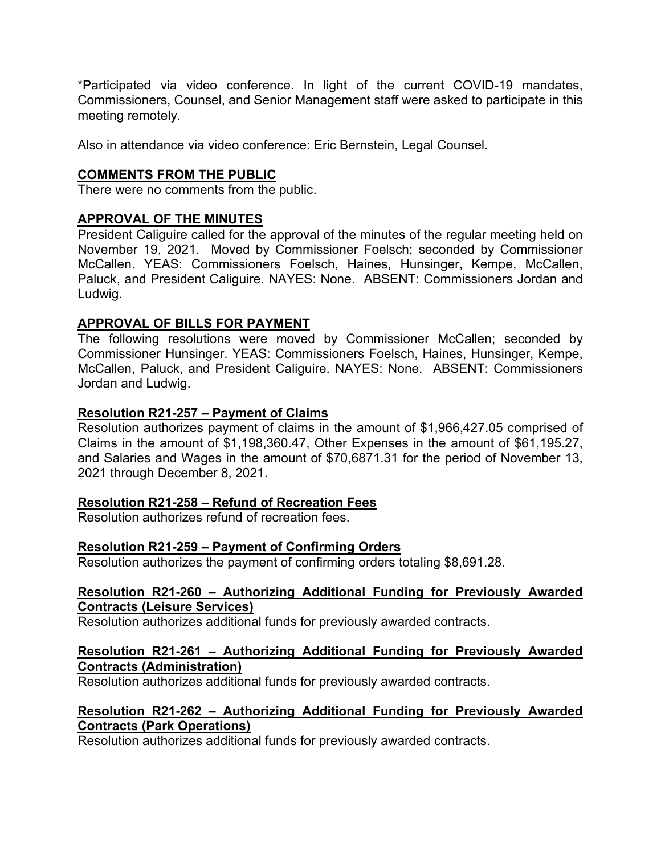\*Participated via video conference. In light of the current COVID-19 mandates, Commissioners, Counsel, and Senior Management staff were asked to participate in this meeting remotely.

Also in attendance via video conference: Eric Bernstein, Legal Counsel.

# **COMMENTS FROM THE PUBLIC**

There were no comments from the public.

## **APPROVAL OF THE MINUTES**

President Caliguire called for the approval of the minutes of the regular meeting held on November 19, 2021. Moved by Commissioner Foelsch; seconded by Commissioner McCallen. YEAS: Commissioners Foelsch, Haines, Hunsinger, Kempe, McCallen, Paluck, and President Caliguire. NAYES: None. ABSENT: Commissioners Jordan and Ludwig.

## **APPROVAL OF BILLS FOR PAYMENT**

The following resolutions were moved by Commissioner McCallen; seconded by Commissioner Hunsinger. YEAS: Commissioners Foelsch, Haines, Hunsinger, Kempe, McCallen, Paluck, and President Caliguire. NAYES: None. ABSENT: Commissioners Jordan and Ludwig.

## **Resolution R21-257 – Payment of Claims**

Resolution authorizes payment of claims in the amount of \$1,966,427.05 comprised of Claims in the amount of \$1,198,360.47, Other Expenses in the amount of \$61,195.27, and Salaries and Wages in the amount of \$70,6871.31 for the period of November 13, 2021 through December 8, 2021.

### **Resolution R21-258 – Refund of Recreation Fees**

Resolution authorizes refund of recreation fees.

### **Resolution R21-259 – Payment of Confirming Orders**

Resolution authorizes the payment of confirming orders totaling \$8,691.28.

### **Resolution R21-260 – Authorizing Additional Funding for Previously Awarded Contracts (Leisure Services)**

Resolution authorizes additional funds for previously awarded contracts.

## **Resolution R21-261 – Authorizing Additional Funding for Previously Awarded Contracts (Administration)**

Resolution authorizes additional funds for previously awarded contracts.

# **Resolution R21-262 – Authorizing Additional Funding for Previously Awarded Contracts (Park Operations)**

Resolution authorizes additional funds for previously awarded contracts.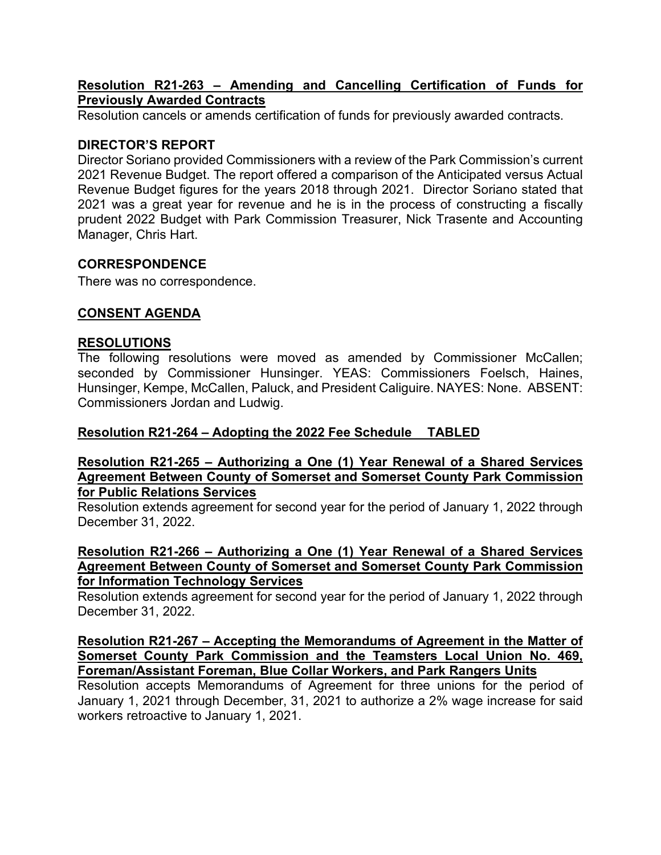### **Resolution R21-263 – Amending and Cancelling Certification of Funds for Previously Awarded Contracts**

Resolution cancels or amends certification of funds for previously awarded contracts.

### **DIRECTOR'S REPORT**

Director Soriano provided Commissioners with a review of the Park Commission's current 2021 Revenue Budget. The report offered a comparison of the Anticipated versus Actual Revenue Budget figures for the years 2018 through 2021. Director Soriano stated that 2021 was a great year for revenue and he is in the process of constructing a fiscally prudent 2022 Budget with Park Commission Treasurer, Nick Trasente and Accounting Manager, Chris Hart.

## **CORRESPONDENCE**

There was no correspondence.

# **CONSENT AGENDA**

### **RESOLUTIONS**

The following resolutions were moved as amended by Commissioner McCallen; seconded by Commissioner Hunsinger. YEAS: Commissioners Foelsch, Haines, Hunsinger, Kempe, McCallen, Paluck, and President Caliguire. NAYES: None. ABSENT: Commissioners Jordan and Ludwig.

# **Resolution R21-264 – Adopting the 2022 Fee Schedule TABLED**

#### **Resolution R21-265 – Authorizing a One (1) Year Renewal of a Shared Services Agreement Between County of Somerset and Somerset County Park Commission for Public Relations Services**

Resolution extends agreement for second year for the period of January 1, 2022 through December 31, 2022.

#### **Resolution R21-266 – Authorizing a One (1) Year Renewal of a Shared Services Agreement Between County of Somerset and Somerset County Park Commission for Information Technology Services**

Resolution extends agreement for second year for the period of January 1, 2022 through December 31, 2022.

**Resolution R21-267 – Accepting the Memorandums of Agreement in the Matter of Somerset County Park Commission and the Teamsters Local Union No. 469, Foreman/Assistant Foreman, Blue Collar Workers, and Park Rangers Units**

Resolution accepts Memorandums of Agreement for three unions for the period of January 1, 2021 through December, 31, 2021 to authorize a 2% wage increase for said workers retroactive to January 1, 2021.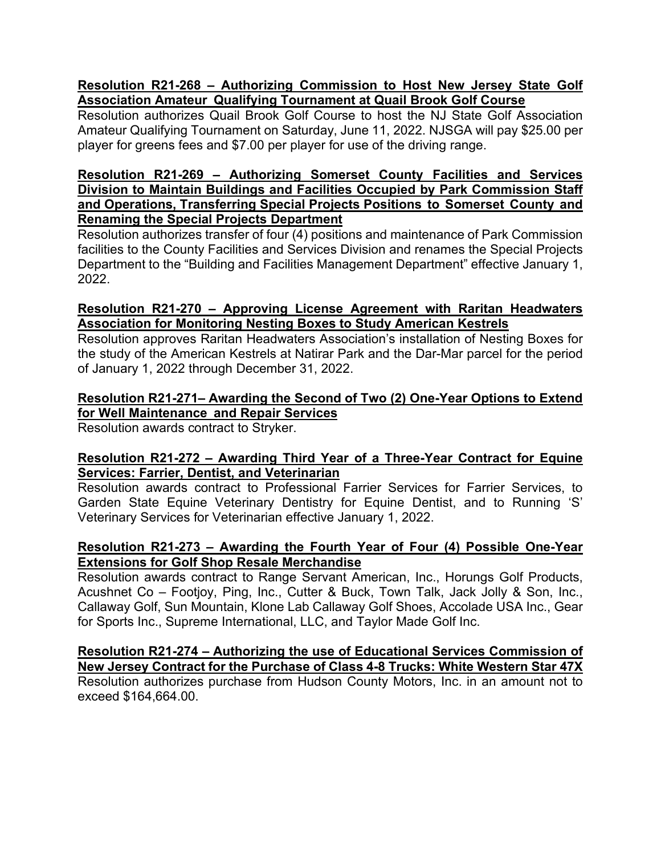### **Resolution R21-268 – Authorizing Commission to Host New Jersey State Golf Association Amateur Qualifying Tournament at Quail Brook Golf Course**

Resolution authorizes Quail Brook Golf Course to host the NJ State Golf Association Amateur Qualifying Tournament on Saturday, June 11, 2022. NJSGA will pay \$25.00 per player for greens fees and \$7.00 per player for use of the driving range.

### **Resolution R21-269** *–* **Authorizing Somerset County Facilities and Services Division to Maintain Buildings and Facilities Occupied by Park Commission Staff and Operations, Transferring Special Projects Positions to Somerset County and Renaming the Special Projects Department**

Resolution authorizes transfer of four (4) positions and maintenance of Park Commission facilities to the County Facilities and Services Division and renames the Special Projects Department to the "Building and Facilities Management Department" effective January 1, 2022.

### **Resolution R21-270 – Approving License Agreement with Raritan Headwaters Association for Monitoring Nesting Boxes to Study American Kestrels**

Resolution approves Raritan Headwaters Association's installation of Nesting Boxes for the study of the American Kestrels at Natirar Park and the Dar-Mar parcel for the period of January 1, 2022 through December 31, 2022.

# **Resolution R21-271– Awarding the Second of Two (2) One-Year Options to Extend for Well Maintenance and Repair Services**

Resolution awards contract to Stryker.

## **Resolution R21-272 – Awarding Third Year of a Three-Year Contract for Equine Services: Farrier, Dentist, and Veterinarian**

Resolution awards contract to Professional Farrier Services for Farrier Services, to Garden State Equine Veterinary Dentistry for Equine Dentist, and to Running 'S' Veterinary Services for Veterinarian effective January 1, 2022.

# **Resolution R21-273 – Awarding the Fourth Year of Four (4) Possible One-Year Extensions for Golf Shop Resale Merchandise**

Resolution awards contract to Range Servant American, Inc., Horungs Golf Products, Acushnet Co – Footjoy, Ping, Inc., Cutter & Buck, Town Talk, Jack Jolly & Son, Inc., Callaway Golf, Sun Mountain, Klone Lab Callaway Golf Shoes, Accolade USA Inc., Gear for Sports Inc., Supreme International, LLC, and Taylor Made Golf Inc.

#### **Resolution R21-274 – Authorizing the use of Educational Services Commission of New Jersey Contract for the Purchase of Class 4-8 Trucks: White Western Star 47X** Resolution authorizes purchase from Hudson County Motors, Inc. in an amount not to exceed \$164,664.00.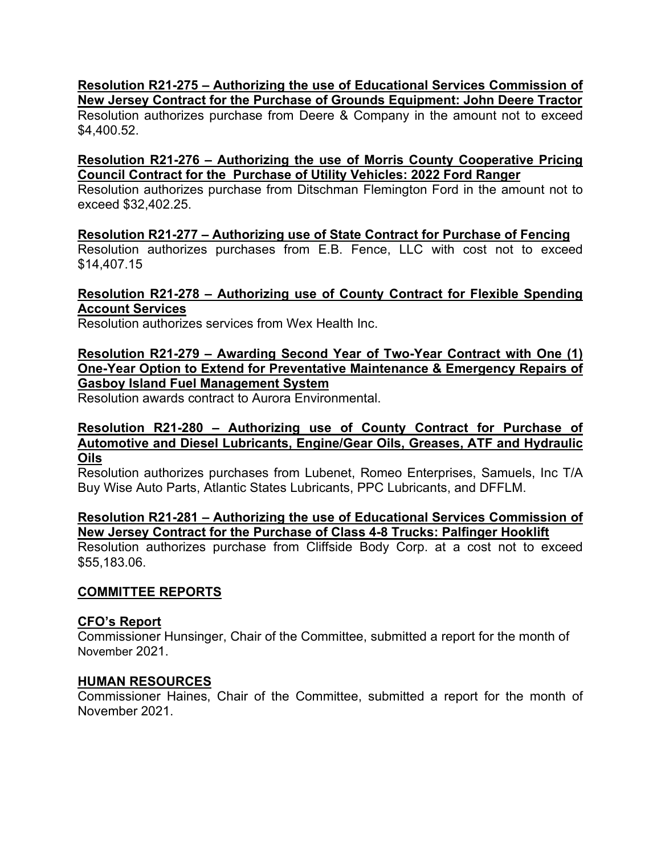### **Resolution R21-275 – Authorizing the use of Educational Services Commission of New Jersey Contract for the Purchase of Grounds Equipment: John Deere Tractor**

Resolution authorizes purchase from Deere & Company in the amount not to exceed \$4,400.52.

### **Resolution R21-276 – Authorizing the use of Morris County Cooperative Pricing Council Contract for the Purchase of Utility Vehicles: 2022 Ford Ranger**

Resolution authorizes purchase from Ditschman Flemington Ford in the amount not to exceed \$32,402.25.

## **Resolution R21-277 – Authorizing use of State Contract for Purchase of Fencing**

Resolution authorizes purchases from E.B. Fence, LLC with cost not to exceed \$14,407.15

### **Resolution R21-278 – Authorizing use of County Contract for Flexible Spending Account Services**

Resolution authorizes services from Wex Health Inc.

### **Resolution R21-279 – Awarding Second Year of Two-Year Contract with One (1) One-Year Option to Extend for Preventative Maintenance & Emergency Repairs of Gasboy Island Fuel Management System**

Resolution awards contract to Aurora Environmental.

### **Resolution R21-280 – Authorizing use of County Contract for Purchase of Automotive and Diesel Lubricants, Engine/Gear Oils, Greases, ATF and Hydraulic Oils**

Resolution authorizes purchases from Lubenet, Romeo Enterprises, Samuels, Inc T/A Buy Wise Auto Parts, Atlantic States Lubricants, PPC Lubricants, and DFFLM.

### **Resolution R21-281 – Authorizing the use of Educational Services Commission of New Jersey Contract for the Purchase of Class 4-8 Trucks: Palfinger Hooklift**

Resolution authorizes purchase from Cliffside Body Corp. at a cost not to exceed \$55,183.06.

# **COMMITTEE REPORTS**

# **CFO's Report**

Commissioner Hunsinger, Chair of the Committee, submitted a report for the month of November 2021.

# **HUMAN RESOURCES**

Commissioner Haines, Chair of the Committee, submitted a report for the month of November 2021.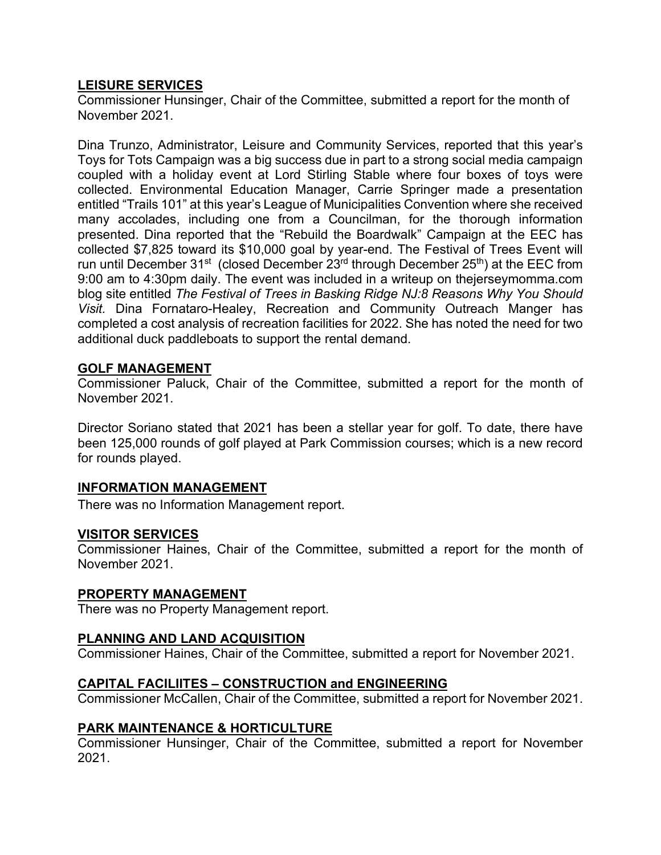### **LEISURE SERVICES**

Commissioner Hunsinger, Chair of the Committee, submitted a report for the month of November 2021.

Dina Trunzo, Administrator, Leisure and Community Services, reported that this year's Toys for Tots Campaign was a big success due in part to a strong social media campaign coupled with a holiday event at Lord Stirling Stable where four boxes of toys were collected. Environmental Education Manager, Carrie Springer made a presentation entitled "Trails 101" at this year's League of Municipalities Convention where she received many accolades, including one from a Councilman, for the thorough information presented. Dina reported that the "Rebuild the Boardwalk" Campaign at the EEC has collected \$7,825 toward its \$10,000 goal by year-end. The Festival of Trees Event will run until December 31<sup>st</sup> (closed December 23<sup>rd</sup> through December 25<sup>th</sup>) at the EEC from 9:00 am to 4:30pm daily. The event was included in a writeup on thejerseymomma.com blog site entitled *The Festival of Trees in Basking Ridge NJ:8 Reasons Why You Should Visit.* Dina Fornataro-Healey, Recreation and Community Outreach Manger has completed a cost analysis of recreation facilities for 2022. She has noted the need for two additional duck paddleboats to support the rental demand.

#### **GOLF MANAGEMENT**

Commissioner Paluck, Chair of the Committee, submitted a report for the month of November 2021.

Director Soriano stated that 2021 has been a stellar year for golf. To date, there have been 125,000 rounds of golf played at Park Commission courses; which is a new record for rounds played.

### **INFORMATION MANAGEMENT**

There was no Information Management report.

#### **VISITOR SERVICES**

Commissioner Haines, Chair of the Committee, submitted a report for the month of November 2021.

#### **PROPERTY MANAGEMENT**

There was no Property Management report.

#### **PLANNING AND LAND ACQUISITION**

Commissioner Haines, Chair of the Committee, submitted a report for November 2021.

#### **CAPITAL FACILIITES – CONSTRUCTION and ENGINEERING**

Commissioner McCallen, Chair of the Committee, submitted a report for November 2021.

#### **PARK MAINTENANCE & HORTICULTURE**

Commissioner Hunsinger, Chair of the Committee, submitted a report for November 2021.